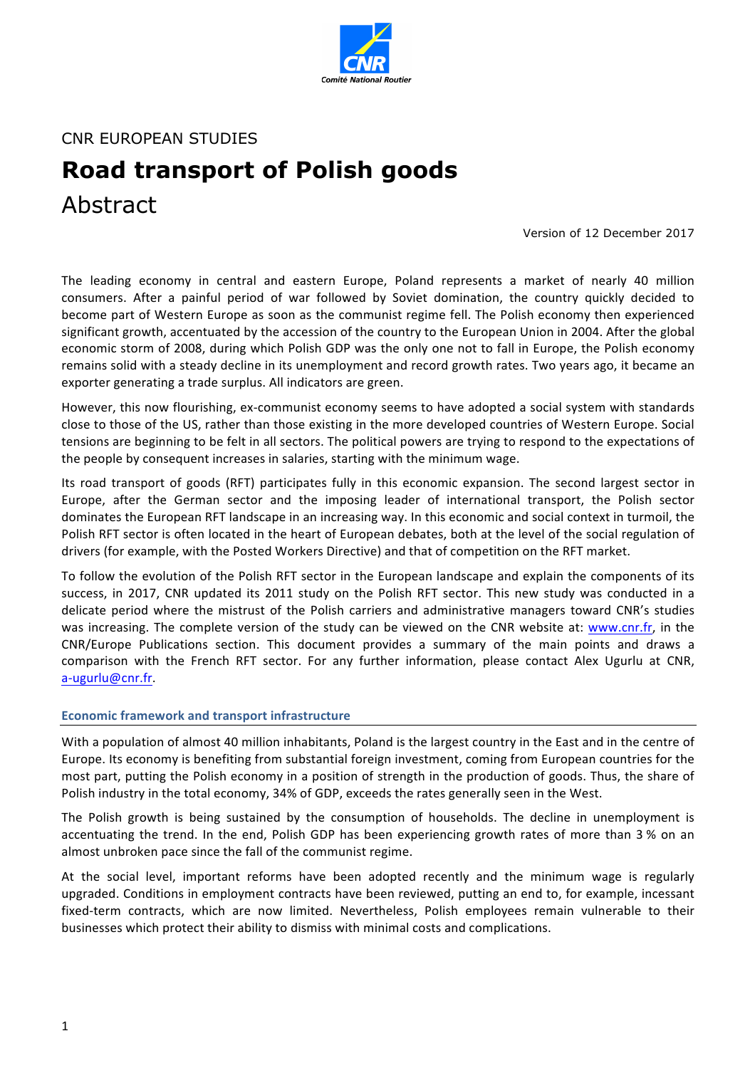

CNR EUROPEAN STUDIES

# **Road transport of Polish goods** Abstract

Version of 12 December 2017

The leading economy in central and eastern Europe, Poland represents a market of nearly 40 million consumers. After a painful period of war followed by Soviet domination, the country quickly decided to become part of Western Europe as soon as the communist regime fell. The Polish economy then experienced significant growth, accentuated by the accession of the country to the European Union in 2004. After the global economic storm of 2008, during which Polish GDP was the only one not to fall in Europe, the Polish economy remains solid with a steady decline in its unemployment and record growth rates. Two years ago, it became an exporter generating a trade surplus. All indicators are green.

However, this now flourishing, ex-communist economy seems to have adopted a social system with standards close to those of the US, rather than those existing in the more developed countries of Western Europe. Social tensions are beginning to be felt in all sectors. The political powers are trying to respond to the expectations of the people by consequent increases in salaries, starting with the minimum wage.

Its road transport of goods (RFT) participates fully in this economic expansion. The second largest sector in Europe, after the German sector and the imposing leader of international transport, the Polish sector dominates the European RFT landscape in an increasing way. In this economic and social context in turmoil, the Polish RFT sector is often located in the heart of European debates, both at the level of the social regulation of drivers (for example, with the Posted Workers Directive) and that of competition on the RFT market.

To follow the evolution of the Polish RFT sector in the European landscape and explain the components of its success, in 2017, CNR updated its 2011 study on the Polish RFT sector. This new study was conducted in a delicate period where the mistrust of the Polish carriers and administrative managers toward CNR's studies was increasing. The complete version of the study can be viewed on the CNR website at: www.cnr.fr, in the CNR/Europe Publications section. This document provides a summary of the main points and draws a comparison with the French RFT sector. For any further information, please contact Alex Ugurlu at CNR, a-ugurlu@cnr.fr.

### **Economic framework and transport infrastructure**

With a population of almost 40 million inhabitants, Poland is the largest country in the East and in the centre of Europe. Its economy is benefiting from substantial foreign investment, coming from European countries for the most part, putting the Polish economy in a position of strength in the production of goods. Thus, the share of Polish industry in the total economy, 34% of GDP, exceeds the rates generally seen in the West.

The Polish growth is being sustained by the consumption of households. The decline in unemployment is accentuating the trend. In the end, Polish GDP has been experiencing growth rates of more than 3 % on an almost unbroken pace since the fall of the communist regime.

At the social level, important reforms have been adopted recently and the minimum wage is regularly upgraded. Conditions in employment contracts have been reviewed, putting an end to, for example, incessant fixed-term contracts, which are now limited. Nevertheless, Polish employees remain vulnerable to their businesses which protect their ability to dismiss with minimal costs and complications.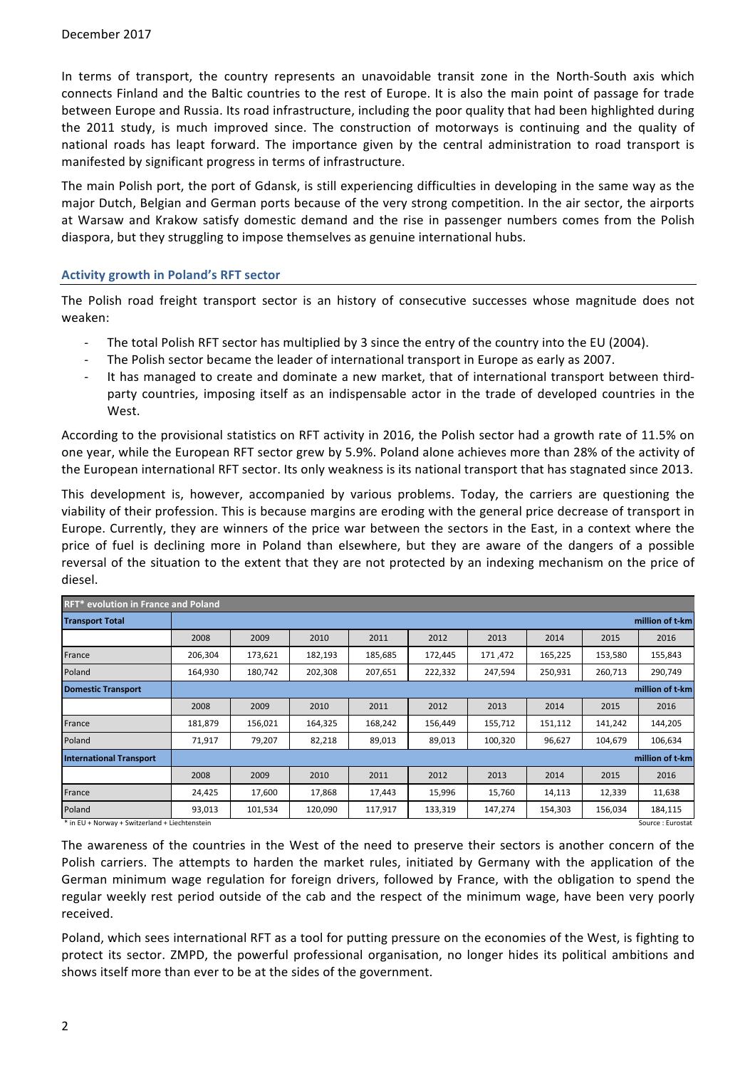In terms of transport, the country represents an unavoidable transit zone in the North-South axis which connects Finland and the Baltic countries to the rest of Europe. It is also the main point of passage for trade between Europe and Russia. Its road infrastructure, including the poor quality that had been highlighted during the 2011 study, is much improved since. The construction of motorways is continuing and the quality of national roads has leapt forward. The importance given by the central administration to road transport is manifested by significant progress in terms of infrastructure.

The main Polish port, the port of Gdansk, is still experiencing difficulties in developing in the same way as the major Dutch, Belgian and German ports because of the very strong competition. In the air sector, the airports at Warsaw and Krakow satisfy domestic demand and the rise in passenger numbers comes from the Polish diaspora, but they struggling to impose themselves as genuine international hubs.

### **Activity growth in Poland's RFT sector**

The Polish road freight transport sector is an history of consecutive successes whose magnitude does not weaken: 

- The total Polish RFT sector has multiplied by 3 since the entry of the country into the EU (2004).
- The Polish sector became the leader of international transport in Europe as early as 2007.
- It has managed to create and dominate a new market, that of international transport between thirdparty countries, imposing itself as an indispensable actor in the trade of developed countries in the West.

According to the provisional statistics on RFT activity in 2016, the Polish sector had a growth rate of 11.5% on one year, while the European RFT sector grew by 5.9%. Poland alone achieves more than 28% of the activity of the European international RFT sector. Its only weakness is its national transport that has stagnated since 2013.

This development is, however, accompanied by various problems. Today, the carriers are questioning the viability of their profession. This is because margins are eroding with the general price decrease of transport in Europe. Currently, they are winners of the price war between the sectors in the East, in a context where the price of fuel is declining more in Poland than elsewhere, but they are aware of the dangers of a possible reversal of the situation to the extent that they are not protected by an indexing mechanism on the price of diesel.

| <b>RFT*</b> evolution in France and Poland |                                                   |         |         |         |         |         |         |                   |  |
|--------------------------------------------|---------------------------------------------------|---------|---------|---------|---------|---------|---------|-------------------|--|
|                                            |                                                   |         |         |         |         |         |         | million of t-km   |  |
| 2008                                       | 2009                                              | 2010    | 2011    | 2012    | 2013    | 2014    | 2015    | 2016              |  |
| 206,304                                    | 173,621                                           | 182,193 | 185,685 | 172,445 | 171,472 | 165,225 | 153,580 | 155,843           |  |
| 164,930                                    | 180,742                                           | 202,308 | 207,651 | 222,332 | 247,594 | 250,931 | 260,713 | 290,749           |  |
| million of t-km                            |                                                   |         |         |         |         |         |         |                   |  |
| 2008                                       | 2009                                              | 2010    | 2011    | 2012    | 2013    | 2014    | 2015    | 2016              |  |
| 181,879                                    | 156,021                                           | 164,325 | 168,242 | 156,449 | 155,712 | 151,112 | 141,242 | 144,205           |  |
| 71,917                                     | 79,207                                            | 82,218  | 89,013  | 89,013  | 100,320 | 96,627  | 104,679 | 106,634           |  |
|                                            |                                                   |         |         |         |         |         |         | million of t-km   |  |
| 2008                                       | 2009                                              | 2010    | 2011    | 2012    | 2013    | 2014    | 2015    | 2016              |  |
| 24,425                                     | 17,600                                            | 17,868  | 17,443  | 15,996  | 15,760  | 14,113  | 12,339  | 11,638            |  |
| 93,013                                     | 101,534                                           | 120,090 | 117,917 | 133,319 | 147,274 | 154,303 | 156,034 | 184,115           |  |
|                                            | * in FIL ( Nomini) ( Cultradoral ( Linghtonotoin) |         |         |         |         |         |         | Course - Fuseetet |  |

 $\int$ in EU + Norway + Switzerland + Liechtenstein

The awareness of the countries in the West of the need to preserve their sectors is another concern of the Polish carriers. The attempts to harden the market rules, initiated by Germany with the application of the German minimum wage regulation for foreign drivers, followed by France, with the obligation to spend the regular weekly rest period outside of the cab and the respect of the minimum wage, have been very poorly received. 

Poland, which sees international RFT as a tool for putting pressure on the economies of the West, is fighting to protect its sector. ZMPD, the powerful professional organisation, no longer hides its political ambitions and shows itself more than ever to be at the sides of the government.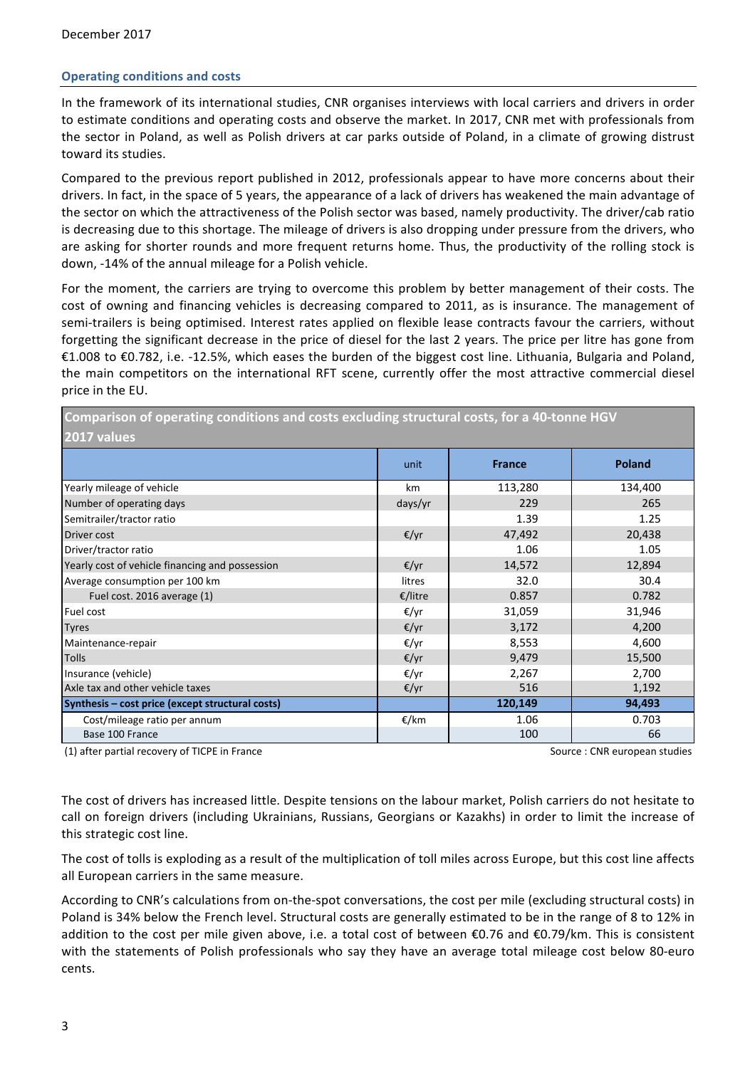## **Operating conditions and costs**

In the framework of its international studies, CNR organises interviews with local carriers and drivers in order to estimate conditions and operating costs and observe the market. In 2017, CNR met with professionals from the sector in Poland, as well as Polish drivers at car parks outside of Poland, in a climate of growing distrust toward its studies.

Compared to the previous report published in 2012, professionals appear to have more concerns about their drivers. In fact, in the space of 5 years, the appearance of a lack of drivers has weakened the main advantage of the sector on which the attractiveness of the Polish sector was based, namely productivity. The driver/cab ratio is decreasing due to this shortage. The mileage of drivers is also dropping under pressure from the drivers, who are asking for shorter rounds and more frequent returns home. Thus, the productivity of the rolling stock is down, -14% of the annual mileage for a Polish vehicle.

For the moment, the carriers are trying to overcome this problem by better management of their costs. The cost of owning and financing vehicles is decreasing compared to 2011, as is insurance. The management of semi-trailers is being optimised. Interest rates applied on flexible lease contracts favour the carriers, without forgetting the significant decrease in the price of diesel for the last 2 years. The price per litre has gone from €1.008 to €0.782, i.e. -12.5%, which eases the burden of the biggest cost line. Lithuania, Bulgaria and Poland, the main competitors on the international RFT scene, currently offer the most attractive commercial diesel price in the EU.

Comparison of operating conditions and costs excluding structural costs, for a 40-tonne HGV **2017 values**

| LUII VAIUCJ                                      |         |               |               |  |  |  |
|--------------------------------------------------|---------|---------------|---------------|--|--|--|
|                                                  | unit    | <b>France</b> | <b>Poland</b> |  |  |  |
| Yearly mileage of vehicle                        | km      | 113,280       | 134,400       |  |  |  |
| Number of operating days                         | days/yr | 229           | 265           |  |  |  |
| Semitrailer/tractor ratio                        |         | 1.39          | 1.25          |  |  |  |
| <b>Driver cost</b>                               | €/yr    | 47,492        | 20,438        |  |  |  |
| Driver/tractor ratio                             |         | 1.06          | 1.05          |  |  |  |
| Yearly cost of vehicle financing and possession  | €/yr    | 14,572        | 12,894        |  |  |  |
| Average consumption per 100 km                   | litres  | 32.0          | 30.4          |  |  |  |
| Fuel cost. 2016 average (1)                      | €/litre | 0.857         | 0.782         |  |  |  |
| Fuel cost                                        | €/yr    | 31,059        | 31,946        |  |  |  |
| <b>Tyres</b>                                     | €/yr    | 3,172         | 4,200         |  |  |  |
| Maintenance-repair                               | €/yr    | 8,553         | 4,600         |  |  |  |
| <b>Tolls</b>                                     | €/yr    | 9,479         | 15,500        |  |  |  |
| Insurance (vehicle)                              | €/yr    | 2,267         | 2,700         |  |  |  |
| Axle tax and other vehicle taxes                 | €/yr    | 516           | 1,192         |  |  |  |
| Synthesis – cost price (except structural costs) |         | 120,149       | 94,493        |  |  |  |
| Cost/mileage ratio per annum                     | €/km    | 1.06          | 0.703         |  |  |  |
| Base 100 France                                  |         | 100           | 66            |  |  |  |

(1) after partial recovery of TICPE in France Source : CNR european studies

The cost of drivers has increased little. Despite tensions on the labour market, Polish carriers do not hesitate to call on foreign drivers (including Ukrainians, Russians, Georgians or Kazakhs) in order to limit the increase of this strategic cost line.

The cost of tolls is exploding as a result of the multiplication of toll miles across Europe, but this cost line affects all European carriers in the same measure.

According to CNR's calculations from on-the-spot conversations, the cost per mile (excluding structural costs) in Poland is 34% below the French level. Structural costs are generally estimated to be in the range of 8 to 12% in addition to the cost per mile given above, i.e. a total cost of between €0.76 and €0.79/km. This is consistent with the statements of Polish professionals who say they have an average total mileage cost below 80-euro cents.